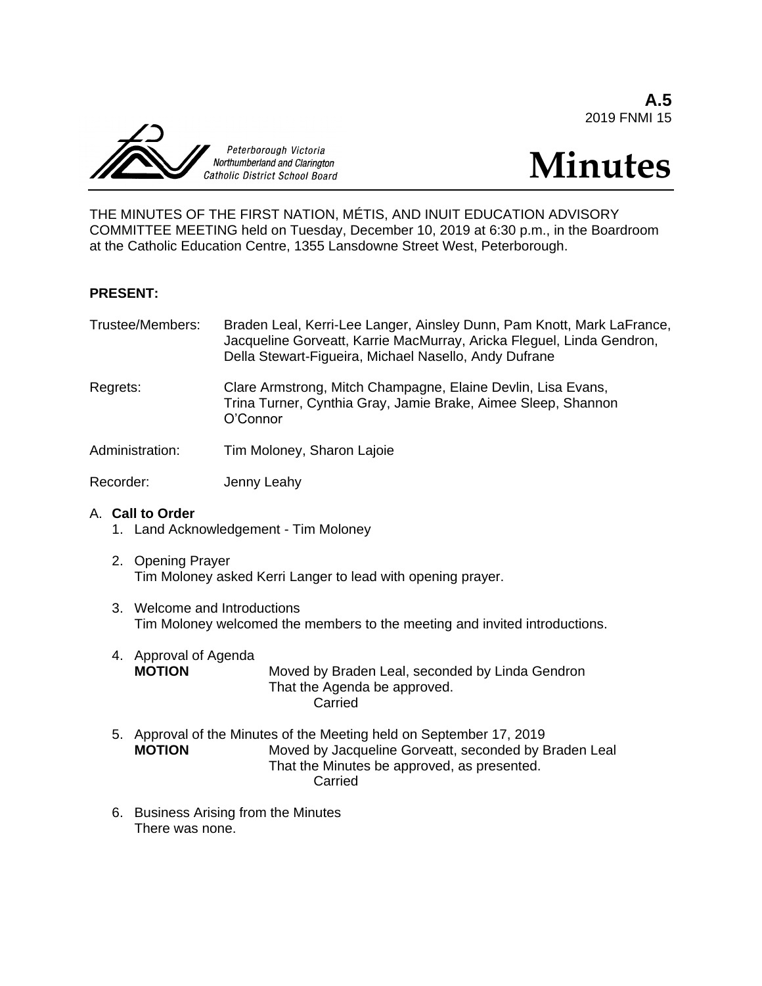**A.5** 2019 FNMI 15



# **Minutes**

THE MINUTES OF THE FIRST NATION, MÉTIS, AND INUIT EDUCATION ADVISORY COMMITTEE MEETING held on Tuesday, December 10, 2019 at 6:30 p.m., in the Boardroom at the Catholic Education Centre, 1355 Lansdowne Street West, Peterborough.

### **PRESENT:**

| Trustee/Members: | Braden Leal, Kerri-Lee Langer, Ainsley Dunn, Pam Knott, Mark LaFrance,<br>Jacqueline Gorveatt, Karrie MacMurray, Aricka Fleguel, Linda Gendron,<br>Della Stewart-Figueira, Michael Nasello, Andy Dufrane |
|------------------|----------------------------------------------------------------------------------------------------------------------------------------------------------------------------------------------------------|
|                  |                                                                                                                                                                                                          |

Regrets: Clare Armstrong, Mitch Champagne, Elaine Devlin, Lisa Evans, Trina Turner, Cynthia Gray, Jamie Brake, Aimee Sleep, Shannon O'Connor

Administration: Tim Moloney, Sharon Lajoie

Recorder: Jenny Leahy

### A. **Call to Order**

- 1. Land Acknowledgement Tim Moloney
- 2. Opening Prayer Tim Moloney asked Kerri Langer to lead with opening prayer.
- 3. Welcome and Introductions Tim Moloney welcomed the members to the meeting and invited introductions.
- 4. Approval of Agenda **MOTION** Moved by Braden Leal, seconded by Linda Gendron That the Agenda be approved. Carried
- 5. Approval of the Minutes of the Meeting held on September 17, 2019 **MOTION** Moved by Jacqueline Gorveatt, seconded by Braden Leal That the Minutes be approved, as presented. Carried
- 6. Business Arising from the Minutes There was none.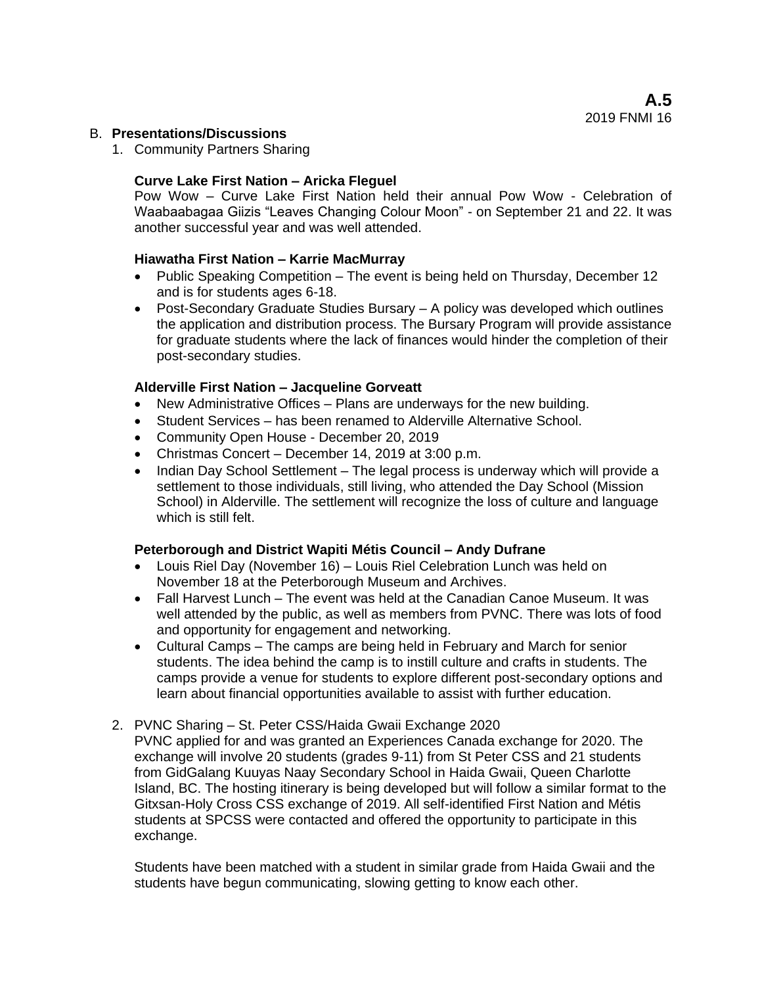## B. **Presentations/Discussions**

1. Community Partners Sharing

# **Curve Lake First Nation – Aricka Fleguel**

Pow Wow – Curve Lake First Nation held their annual Pow Wow - Celebration of Waabaabagaa Giizis "Leaves Changing Colour Moon" - on September 21 and 22. It was another successful year and was well attended.

## **Hiawatha First Nation – Karrie MacMurray**

- Public Speaking Competition The event is being held on Thursday, December 12 and is for students ages 6-18.
- Post-Secondary Graduate Studies Bursary A policy was developed which outlines the application and distribution process. The Bursary Program will provide assistance for graduate students where the lack of finances would hinder the completion of their post-secondary studies.

## **Alderville First Nation – Jacqueline Gorveatt**

- New Administrative Offices Plans are underways for the new building.
- Student Services has been renamed to Alderville Alternative School.
- Community Open House December 20, 2019
- Christmas Concert December 14, 2019 at 3:00 p.m.
- Indian Day School Settlement The legal process is underway which will provide a settlement to those individuals, still living, who attended the Day School (Mission School) in Alderville. The settlement will recognize the loss of culture and language which is still felt.

### **Peterborough and District Wapiti Métis Council – Andy Dufrane**

- Louis Riel Day (November 16) Louis Riel Celebration Lunch was held on November 18 at the Peterborough Museum and Archives.
- Fall Harvest Lunch The event was held at the Canadian Canoe Museum. It was well attended by the public, as well as members from PVNC. There was lots of food and opportunity for engagement and networking.
- Cultural Camps The camps are being held in February and March for senior students. The idea behind the camp is to instill culture and crafts in students. The camps provide a venue for students to explore different post-secondary options and learn about financial opportunities available to assist with further education.

### 2. PVNC Sharing – St. Peter CSS/Haida Gwaii Exchange 2020

PVNC applied for and was granted an Experiences Canada exchange for 2020. The exchange will involve 20 students (grades 9-11) from St Peter CSS and 21 students from GidGalang Kuuyas Naay Secondary School in Haida Gwaii, Queen Charlotte Island, BC. The hosting itinerary is being developed but will follow a similar format to the Gitxsan-Holy Cross CSS exchange of 2019. All self-identified First Nation and Métis students at SPCSS were contacted and offered the opportunity to participate in this exchange.

Students have been matched with a student in similar grade from Haida Gwaii and the students have begun communicating, slowing getting to know each other.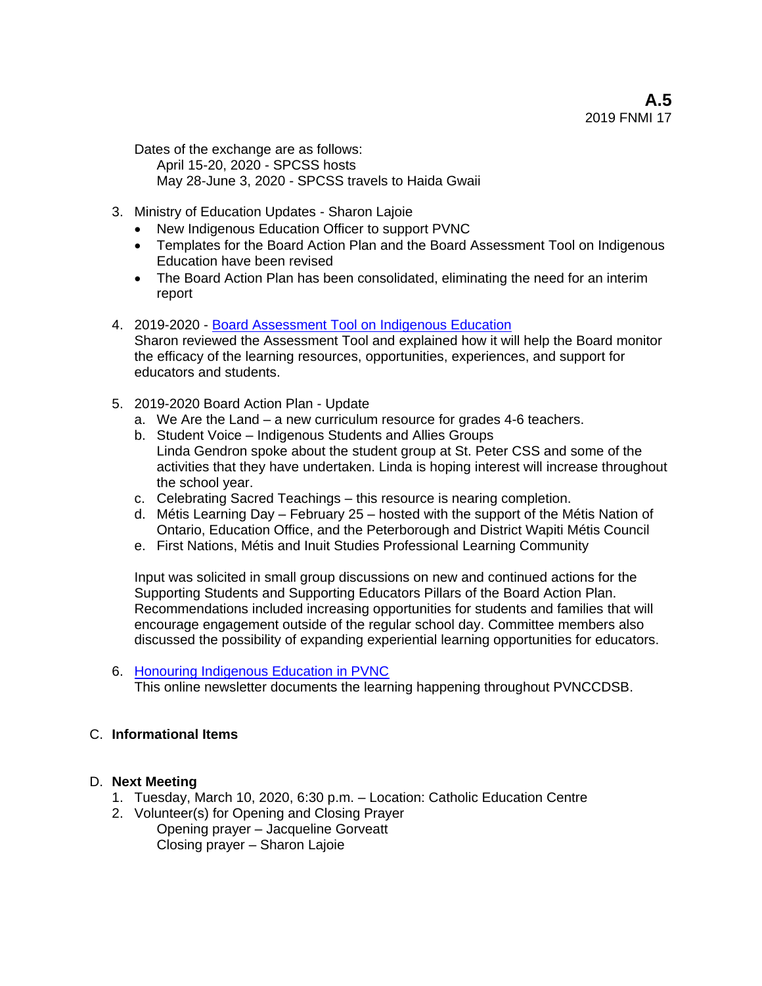Dates of the exchange are as follows: April 15-20, 2020 - SPCSS hosts May 28-June 3, 2020 - SPCSS travels to Haida Gwaii

- 3. Ministry of Education Updates Sharon Lajoie
	- New Indigenous Education Officer to support PVNC
	- Templates for the Board Action Plan and the Board Assessment Tool on Indigenous Education have been revised
	- The Board Action Plan has been consolidated, eliminating the need for an interim report
- 4. 2019-2020 [Board Assessment Tool on Indigenous Education](https://drive.google.com/open?id=0B6GiONV77CZGQkNmVXRrNnRxMzR0NWdZbDBSTGJUUjNoSlBJ) Sharon reviewed the Assessment Tool and explained how it will help the Board monitor the efficacy of the learning resources, opportunities, experiences, and support for educators and students.
- 5. 2019-2020 Board Action Plan Update
	- a. We Are the Land a new curriculum resource for grades 4-6 teachers.
	- b. Student Voice Indigenous Students and Allies Groups Linda Gendron spoke about the student group at St. Peter CSS and some of the activities that they have undertaken. Linda is hoping interest will increase throughout the school year.
	- c. Celebrating Sacred Teachings this resource is nearing completion.
	- d. Métis Learning Day February 25 hosted with the support of the Métis Nation of Ontario, Education Office, and the Peterborough and District Wapiti Métis Council
	- e. First Nations, Métis and Inuit Studies Professional Learning Community

Input was solicited in small group discussions on new and continued actions for the Supporting Students and Supporting Educators Pillars of the Board Action Plan. Recommendations included increasing opportunities for students and families that will encourage engagement outside of the regular school day. Committee members also discussed the possibility of expanding experiential learning opportunities for educators.

6. [Honouring Indigenous Education in PVNC](https://sway.office.com/TQrWRbTaFjG0SwwI?ref=Link) This online newsletter documents the learning happening throughout PVNCCDSB.

# C. **Informational Items**

# D. **Next Meeting**

- 1. Tuesday, March 10, 2020, 6:30 p.m. Location: Catholic Education Centre
- 2. Volunteer(s) for Opening and Closing Prayer Opening prayer – Jacqueline Gorveatt Closing prayer – Sharon Lajoie